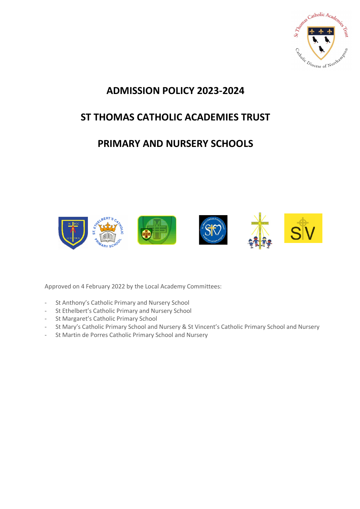

## **ADMISSION POLICY 2023-2024**

## **ST THOMAS CATHOLIC ACADEMIES TRUST**

# **PRIMARY AND NURSERY SCHOOLS**



Approved on 4 February 2022 by the Local Academy Committees:

- St Anthony's Catholic Primary and Nursery School
- St Ethelbert's Catholic Primary and Nursery School
- St Margaret's Catholic Primary School
- St Mary's Catholic Primary School and Nursery & St Vincent's Catholic Primary School and Nursery
- St Martin de Porres Catholic Primary School and Nursery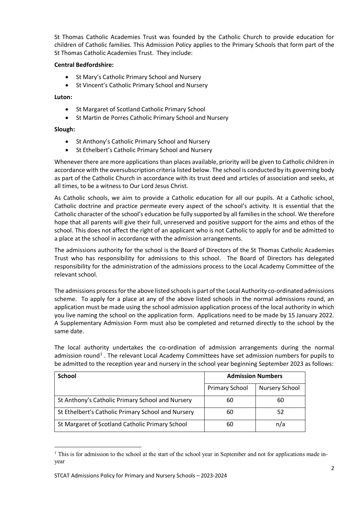St Thomas Catholic Academies Trust was founded by the Catholic Church to provide education for children of Catholic families. This Admission Policy applies to the Primary Schools that form part of the St Thomas Catholic Academies Trust. They include:

## **Central Bedfordshire:**

- St Mary's Catholic Primary School and Nursery
- St Vincent's Catholic Primary School and Nursery

**Luton:** 

- St Margaret of Scotland Catholic Primary School
- St Martin de Porres Catholic Primary School and Nursery

## **Slough:**

- St Anthony's Catholic Primary School and Nursery
- St Ethelbert's Catholic Primary School and Nursery

Whenever there are more applications than places available, priority will be given to Catholic children in accordance with the oversubscription criteria listed below. The school is conducted by its governing body as part of the Catholic Church in accordance with its trust deed and articles of association and seeks, at all times, to be a witness to Our Lord Jesus Christ.

As Catholic schools, we aim to provide a Catholic education for all our pupils. At a Catholic school, Catholic doctrine and practice permeate every aspect of the school's activity. It is essential that the Catholic character of the school's education be fully supported by all families in the school. We therefore hope that all parents will give their full, unreserved and positive support for the aims and ethos of the school. This does not affect the right of an applicant who is not Catholic to apply for and be admitted to a place at the school in accordance with the admission arrangements.

The admissions authority for the school is the Board of Directors of the St Thomas Catholic Academies Trust who has responsibility for admissions to this school. The Board of Directors has delegated responsibility for the administration of the admissions process to the Local Academy Committee of the relevant school.

The admissions process for the above listed schoolsis part of the Local Authority co-ordinated admissions scheme. To apply for a place at any of the above listed schools in the normal admissions round, an application must be made using the school admission application process of the local authority in which you live naming the school on the application form. Applications need to be made by 15 January 2022. A Supplementary Admission Form must also be completed and returned directly to the school by the same date.

The local authority undertakes the co-ordination of admission arrangements during the normal admission round<sup>[1](#page-1-0)</sup>. The relevant Local Academy Committees have set admission numbers for pupils to be admitted to the reception year and nursery in the school year beginning September 2023 as follows:

| <b>School</b>                                      | <b>Admission Numbers</b> |                       |
|----------------------------------------------------|--------------------------|-----------------------|
|                                                    | <b>Primary School</b>    | <b>Nursery School</b> |
| St Anthony's Catholic Primary School and Nursery   | 60                       | 60                    |
| St Ethelbert's Catholic Primary School and Nursery | 60                       | 52                    |
| St Margaret of Scotland Catholic Primary School    | 60                       | n/a                   |

<span id="page-1-0"></span> $1$ . This is for admission to the school at the start of the school year in September and not for applications made inyear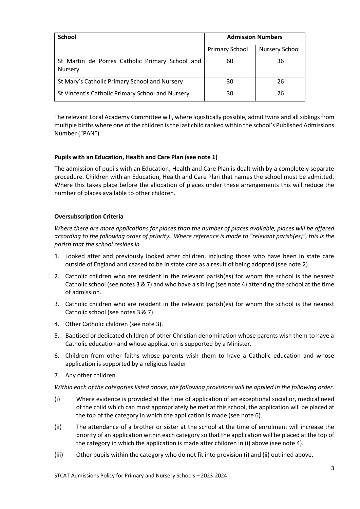| <b>School</b>                                                     | <b>Admission Numbers</b> |                       |
|-------------------------------------------------------------------|--------------------------|-----------------------|
|                                                                   | <b>Primary School</b>    | <b>Nursery School</b> |
| St Martin de Porres Catholic Primary School and<br><b>Nursery</b> | 60                       | 36                    |
| St Mary's Catholic Primary School and Nursery                     | 30                       | 26                    |
| St Vincent's Catholic Primary School and Nursery                  | 30                       | 26                    |

The relevant Local Academy Committee will, where logistically possible, admit twins and all siblings from multiple births where one of the children is the last child ranked within the school's Published Admissions Number ("PAN").

## **Pupils with an Education, Health and Care Plan (see note 1)**

The admission of pupils with an Education, Health and Care Plan is dealt with by a completely separate procedure. Children with an Education, Health and Care Plan that names the school must be admitted. Where this takes place before the allocation of places under these arrangements this will reduce the number of places available to other children.

## **Oversubscription Criteria**

*Where there are more applications for places than the number of places available, places will be offered according to the following order of priority. Where reference is made to "relevant parish(es)", this is the parish that the school resides in.*

- 1. Looked after and previously looked after children, including those who have been in state care outside of England and ceased to be in state care as a result of being adopted (see note 2).
- 2. Catholic children who are resident in the relevant parish(es) for whom the school is the nearest Catholic school (see notes 3 & 7) and who have a sibling (see note 4) attending the school at the time of admission.
- 3. Catholic children who are resident in the relevant parish(es) for whom the school is the nearest Catholic school (see notes 3 & 7).
- 4. Other Catholic children (see note 3).
- 5. Baptised or dedicated children of other Christian denomination whose parents wish them to have a Catholic education and whose application is supported by a Minister.
- 6. Children from other faiths whose parents wish them to have a Catholic education and whose application is supported by a religious leader
- 7. Any other children.

#### *Within each of the categories listed above, the following provisions will be applied in the following order.*

- (i) Where evidence is provided at the time of application of an exceptional social or, medical need of the child which can most appropriately be met at this school, the application will be placed at the top of the category in which the application is made (see note 6).
- (ii) The attendance of a brother or sister at the school at the time of enrolment will increase the priority of an application within each category so that the application will be placed at the top of the category in which the application is made after children in (i) above (see note 4).
- (iii) Other pupils within the category who do not fit into provision (i) and (ii) outlined above.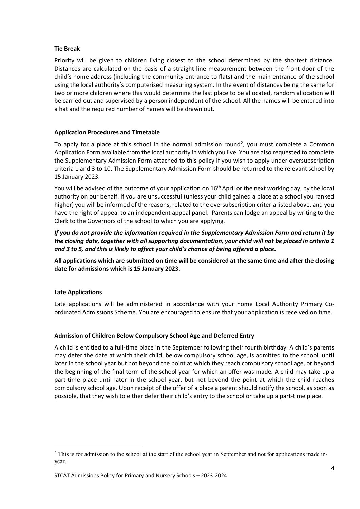## **Tie Break**

Priority will be given to children living closest to the school determined by the shortest distance. Distances are calculated on the basis of a straight-line measurement between the front door of the child's home address (including the community entrance to flats) and the main entrance of the school using the local authority's computerised measuring system. In the event of distances being the same for two or more children where this would determine the last place to be allocated, random allocation will be carried out and supervised by a person independent of the school. All the names will be entered into a hat and the required number of names will be drawn out.

## **Application Procedures and Timetable**

To apply for a place at this school in the normal admission round<sup>[2](#page-3-0)</sup>, you must complete a Common Application Form available from the local authority in which you live. You are also requested to complete the Supplementary Admission Form attached to this policy if you wish to apply under oversubscription criteria 1 and 3 to 10. The Supplementary Admission Form should be returned to the relevant school by 15 January 2023.

You will be advised of the outcome of your application on 16<sup>th</sup> April or the next working day, by the local authority on our behalf. If you are unsuccessful (unless your child gained a place at a school you ranked higher) you will be informed of the reasons, related to the oversubscription criteria listed above, and you have the right of appeal to an independent appeal panel. Parents can lodge an appeal by writing to the Clerk to the Governors of the school to which you are applying.

*If you do not provide the information required in the Supplementary Admission Form and return it by the closing date, together with all supporting documentation, your child will not be placed in criteria 1 and 3 to 5, and this is likely to affect your child's chance of being offered a place.*

**All applications which are submitted on time will be considered at the same time and after the closing date for admissions which is 15 January 2023.**

#### **Late Applications**

Late applications will be administered in accordance with your home Local Authority Primary Coordinated Admissions Scheme. You are encouraged to ensure that your application is received on time.

#### **Admission of Children Below Compulsory School Age and Deferred Entry**

A child is entitled to a full-time place in the September following their fourth birthday. A child's parents may defer the date at which their child, below compulsory school age, is admitted to the school, until later in the school year but not beyond the point at which they reach compulsory school age, or beyond the beginning of the final term of the school year for which an offer was made. A child may take up a part-time place until later in the school year, but not beyond the point at which the child reaches compulsory school age. Upon receipt of the offer of a place a parent should notify the school, as soon as possible, that they wish to either defer their child's entry to the school or take up a part-time place.

<span id="page-3-0"></span><sup>&</sup>lt;sup>2</sup> This is for admission to the school at the start of the school year in September and not for applications made inyear.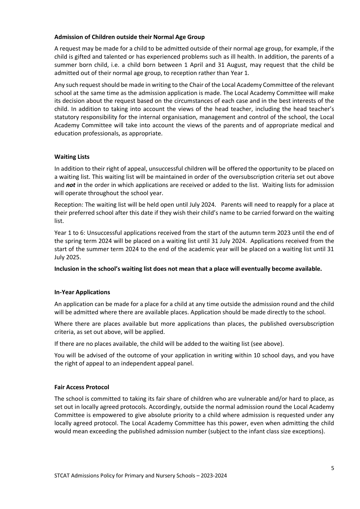#### **Admission of Children outside their Normal Age Group**

A request may be made for a child to be admitted outside of their normal age group, for example, if the child is gifted and talented or has experienced problems such as ill health. In addition, the parents of a summer born child, i.e. a child born between 1 April and 31 August, may request that the child be admitted out of their normal age group, to reception rather than Year 1.

Any such request should be made in writing to the Chair of the Local Academy Committee of the relevant school at the same time as the admission application is made. The Local Academy Committee will make its decision about the request based on the circumstances of each case and in the best interests of the child. In addition to taking into account the views of the head teacher, including the head teacher's statutory responsibility for the internal organisation, management and control of the school, the Local Academy Committee will take into account the views of the parents and of appropriate medical and education professionals, as appropriate.

## **Waiting Lists**

In addition to their right of appeal, unsuccessful children will be offered the opportunity to be placed on a waiting list. This waiting list will be maintained in order of the oversubscription criteria set out above and *not* in the order in which applications are received or added to the list. Waiting lists for admission will operate throughout the school year.

Reception: The waiting list will be held open until July 2024. Parents will need to reapply for a place at their preferred school after this date if they wish their child's name to be carried forward on the waiting list.

Year 1 to 6: Unsuccessful applications received from the start of the autumn term 2023 until the end of the spring term 2024 will be placed on a waiting list until 31 July 2024. Applications received from the start of the summer term 2024 to the end of the academic year will be placed on a waiting list until 31 July 2025.

**Inclusion in the school's waiting list does not mean that a place will eventually become available.**

#### **In-Year Applications**

An application can be made for a place for a child at any time outside the admission round and the child will be admitted where there are available places. Application should be made directly to the school.

Where there are places available but more applications than places, the published oversubscription criteria, as set out above, will be applied.

If there are no places available, the child will be added to the waiting list (see above).

You will be advised of the outcome of your application in writing within 10 school days, and you have the right of appeal to an independent appeal panel.

#### **Fair Access Protocol**

The school is committed to taking its fair share of children who are vulnerable and/or hard to place, as set out in locally agreed protocols. Accordingly, outside the normal admission round the Local Academy Committee is empowered to give absolute priority to a child where admission is requested under any locally agreed protocol. The Local Academy Committee has this power, even when admitting the child would mean exceeding the published admission number (subject to the infant class size exceptions).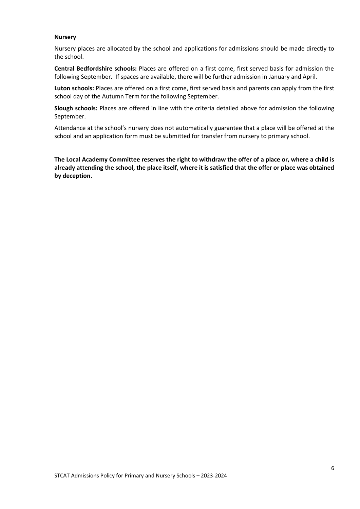#### **Nursery**

Nursery places are allocated by the school and applications for admissions should be made directly to the school.

**Central Bedfordshire schools:** Places are offered on a first come, first served basis for admission the following September. If spaces are available, there will be further admission in January and April.

**Luton schools:** Places are offered on a first come, first served basis and parents can apply from the first school day of the Autumn Term for the following September.

**Slough schools:** Places are offered in line with the criteria detailed above for admission the following September.

Attendance at the school's nursery does not automatically guarantee that a place will be offered at the school and an application form must be submitted for transfer from nursery to primary school.

**The Local Academy Committee reserves the right to withdraw the offer of a place or, where a child is already attending the school, the place itself, where it is satisfied that the offer or place was obtained by deception.**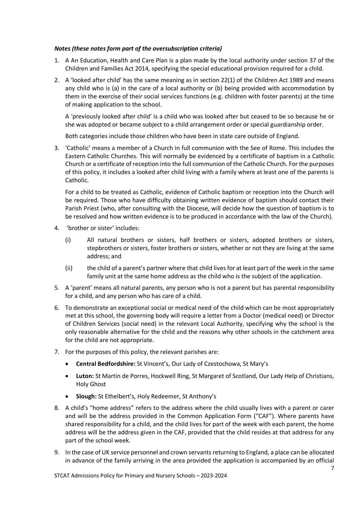## *Notes (these notes form part of the oversubscription criteria)*

- 1. A An Education, Health and Care Plan is a plan made by the local authority under section 37 of the Children and Families Act 2014, specifying the special educational provision required for a child.
- 2. A 'looked after child' has the same meaning as in section 22(1) of the Children Act 1989 and means any child who is (a) in the care of a local authority or (b) being provided with accommodation by them in the exercise of their social services functions (e.g. children with foster parents) at the time of making application to the school.

A 'previously looked after child' is a child who was looked after but ceased to be so because he or she was adopted or became subject to a child arrangement order or special guardianship order.

Both categories include those children who have been in state care outside of England.

3. 'Catholic' means a member of a Church in full communion with the See of Rome. This includes the Eastern Catholic Churches. This will normally be evidenced by a certificate of baptism in a Catholic Church or a certificate of reception into the full communion of the Catholic Church. For the purposes of this policy, it includes a looked after child living with a family where at least one of the parents is Catholic.

For a child to be treated as Catholic, evidence of Catholic baptism or reception into the Church will be required. Those who have difficulty obtaining written evidence of baptism should contact their Parish Priest (who, after consulting with the Diocese, will decide how the question of baptism is to be resolved and how written evidence is to be produced in accordance with the law of the Church).

- 4. 'brother or sister' includes:
	- (i) All natural brothers or sisters, half brothers or sisters, adopted brothers or sisters, stepbrothers or sisters, foster brothers or sisters, whether or not they are living at the same address; and
	- (ii) the child of a parent's partner where that child lives for at least part of the week in the same family unit at the same home address as the child who is the subject of the application.
- 5. A 'parent' means all natural parents, any person who is not a parent but has parental responsibility for a child, and any person who has care of a child.
- 6. To demonstrate an exceptional social or medical need of the child which can be most appropriately met at this school, the governing body will require a letter from a Doctor (medical need) or Director of Children Services (social need) in the relevant Local Authority, specifying why the school is the only reasonable alternative for the child and the reasons why other schools in the catchment area for the child are not appropriate.
- 7. For the purposes of this policy, the relevant parishes are:
	- **Central Bedfordshire:** St Vincent's, Our Lady of Czestochowa, St Mary's
	- **Luton:** St Martin de Porres, Hockwell Ring, St Margaret of Scotland, Our Lady Help of Christians, Holy Ghost
	- **Slough:** St Ethelbert's, Holy Redeemer, St Anthony's
- 8. A child's "home address" refers to the address where the child usually lives with a parent or carer and will be the address provided in the Common Application Form ("CAF"). Where parents have shared responsibility for a child, and the child lives for part of the week with each parent, the home address will be the address given in the CAF, provided that the child resides at that address for any part of the school week.
- 9. In the case of UK service personnel and crown servants returning to England, a place can be allocated in advance of the family arriving in the area provided the application is accompanied by an official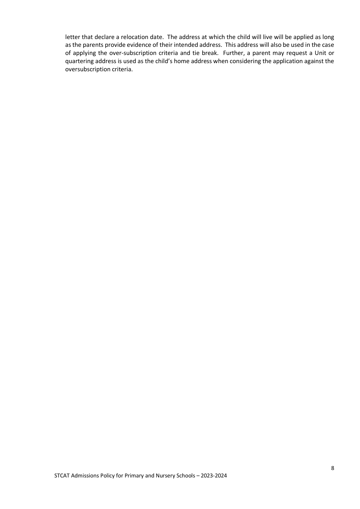letter that declare a relocation date. The address at which the child will live will be applied as long as the parents provide evidence of their intended address. This address will also be used in the case of applying the over-subscription criteria and tie break. Further, a parent may request a Unit or quartering address is used as the child's home address when considering the application against the oversubscription criteria.